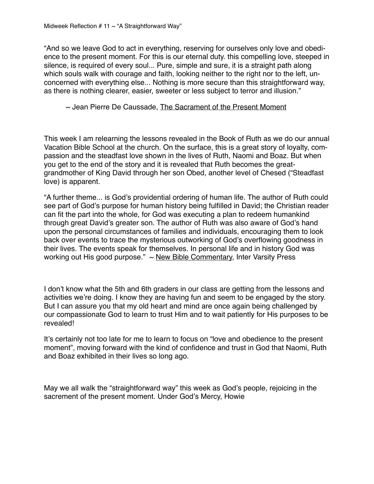"And so we leave God to act in everything, reserving for ourselves only love and obedience to the present moment. For this is our eternal duty. this compelling love, steeped in silence, is required of every soul... Pure, simple and sure, it is a straight path along which souls walk with courage and faith, looking neither to the right nor to the left, unconcerned with everything else... Nothing is more secure than this straightforward way, as there is nothing clearer, easier, sweeter or less subject to terror and illusion."

## $\sim$  Jean Pierre De Caussade, The Sacrament of the Present Moment

This week I am relearning the lessons revealed in the Book of Ruth as we do our annual Vacation Bible School at the church. On the surface, this is a great story of loyalty, compassion and the steadfast love shown in the lives of Ruth, Naomi and Boaz. But when you get to the end of the story and it is revealed that Ruth becomes the greatgrandmother of King David through her son Obed, another level of Chesed ("Steadfast love) is apparent.

"A further theme... is God's providential ordering of human life. The author of Ruth could see part of God's purpose for human history being fulfilled in David; the Christian reader can fit the part into the whole, for God was executing a plan to redeem humankind through great David's greater son. The author of Ruth was also aware of God's hand upon the personal circumstances of families and individuals, encouraging them to look back over events to trace the mysterious outworking of God's overflowing goodness in their lives. The events speak for themselves. In personal life and in history God was working out His good purpose."  $\sim$  New Bible Commentary, Inter Varsity Press

I don't know what the 5th and 6th graders in our class are getting from the lessons and activities we're doing. I know they are having fun and seem to be engaged by the story. But I can assure you that my old heart and mind are once again being challenged by our compassionate God to learn to trust Him and to wait patiently for His purposes to be revealed!

It's certainly not too late for me to learn to focus on "love and obedience to the present moment", moving forward with the kind of confidence and trust in God that Naomi, Ruth and Boaz exhibited in their lives so long ago.

May we all walk the "straightforward way" this week as God's people, rejoicing in the sacrement of the present moment. Under God's Mercy, Howie